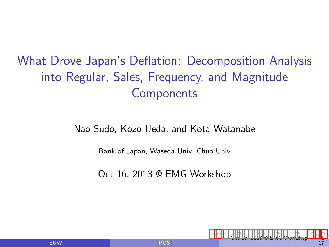# What Drove Japan's Deflation: Decomposition Analysis into Regular, Sales, Frequency, and Magnitude **Components**

#### Nao Sudo, Kozo Ueda, and Kota Watanabe

Bank of Japan, Waseda Univ, Chuo Univ

Oct 16, 2013 @ EMG Workshop

4日)

<span id="page-0-0"></span>[Oct 1](#page-0-0)[6,](#page-1-0) [201](#page-0-0)[3 @](#page-16-0) [EM](#page-0-0)[G W](#page-16-0)[ork](#page-0-0)[shop](#page-16-0) 1 / 17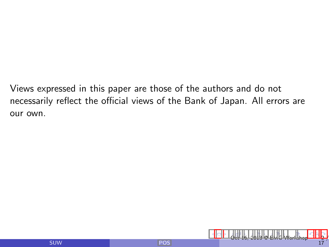Views expressed in this paper are those of the authors and do not necessarily reflect the official views of the Bank of Japan. All errors are our own.

<span id="page-1-0"></span>[O](#page-0-0)[ct 1](#page-1-0)[6,](#page-2-0) [201](#page-0-0)[3 @](#page-16-0) [EM](#page-0-0)[G W](#page-16-0)[ork](#page-0-0)[shop](#page-16-0) 2 / 2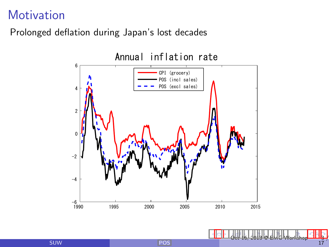### **Motivation**

#### Prolonged deflation during Japan's lost decades



<span id="page-2-0"></span> $\leftarrow$   $\Box$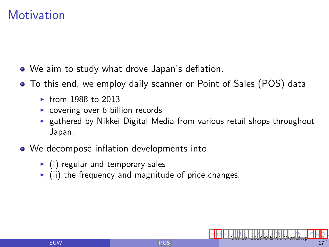### **Motivation**

- We aim to study what drove Japan's deflation.
- To this end, we employ daily scanner or Point of Sales (POS) data
	- $\blacktriangleright$  from 1988 to 2013
	- $\triangleright$  covering over 6 billion records
	- $\triangleright$  gathered by Nikkei Digital Media from various retail shops throughout Japan.
- We decompose inflation developments into
	- $\blacktriangleright$  (i) regular and temporary sales
	- $\triangleright$  (ii) the frequency and magnitude of price changes.

<span id="page-3-0"></span> $Oct$  $Oct$  1[6,](#page-4-0) [201](#page-0-0)3  $@$  [EM](#page-0-0)[G W](#page-16-0)[ork](#page-0-0)[shop](#page-16-0)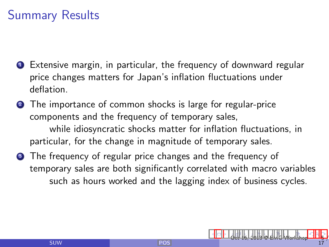## Summary Results

- **1** Extensive margin, in particular, the frequency of downward regular price changes matters for Japan's inflation fluctuations under deflation.
- **2** The importance of common shocks is large for regular-price components and the frequency of temporary sales, while idiosyncratic shocks matter for inflation fluctuations, in particular, for the change in magnitude of temporary sales.
- **3** The frequency of regular price changes and the frequency of temporary sales are both significantly correlated with macro variables such as hours worked and the lagging index of business cycles.

<span id="page-4-0"></span>[O](#page-3-0)[ct 1](#page-4-0)[6,](#page-5-0) [201](#page-0-0)[3 @](#page-16-0) [EM](#page-0-0)[G W](#page-16-0)[ork](#page-0-0)[shop](#page-16-0) 5 / 5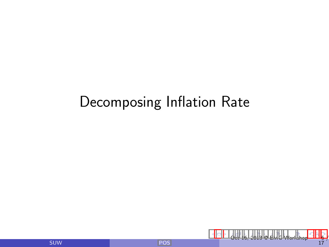# Decomposing Inflation Rate

<span id="page-5-0"></span>[O](#page-4-0)[ct 1](#page-5-0)[6,](#page-6-0) [201](#page-0-0)[3 @](#page-16-0) [EM](#page-0-0)[G W](#page-16-0)[ork](#page-0-0)[shop](#page-16-0) 6 /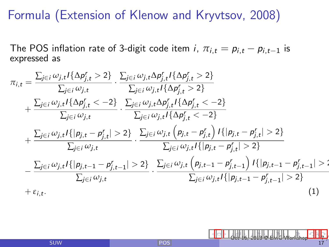### Formula (Extension of Klenow and Kryvtsov, 2008)

The POS inflation rate of 3-digit code item i,  $\pi_{i,t} = p_{i,t} - p_{i,t-1}$  is expressed as

$$
\pi_{i,t} = \frac{\sum_{j \in i} \omega_{j,t} I\{\Delta p'_{j,t} > 2\}}{\sum_{j \in i} \omega_{j,t} I\{\Delta p'_{j,t} \} \{\Delta p'_{j,t} \} \{D_{j,t}^r > 2\}} - \frac{\sum_{j \in i} \omega_{j,t} I\{\Delta p'_{j,t} > 2\}}{\sum_{j \in i} \omega_{j,t} I\{\Delta p'_{j,t} > 2\}} \\
+ \frac{\sum_{j \in i} \omega_{j,t} I\{\Delta p'_{j,t} < -2\}}{\sum_{j \in i} \omega_{j,t} I\{\Delta p'_{j,t} < -2\}} - \frac{\sum_{j \in i} \omega_{j,t} D_{j,t}^r I\{\Delta p'_{j,t} < -2\}}{\sum_{j \in i} \omega_{j,t} I\{\Delta p'_{j,t} < -2\}} \\
+ \frac{\sum_{j \in i} \omega_{j,t} I\{|p_{j,t} - p'_{j,t}| > 2\}}{\sum_{j \in i} \omega_{j,t}} - \frac{\sum_{j \in i} \omega_{j,t} (p_{j,t} - p'_{j,t}) I\{|p_{j,t} - p'_{j,t}| > 2\}}{\sum_{j \in i} \omega_{j,t} I\{|p_{j,t} - p'_{j,t}| > 2\}} \\
- \frac{\sum_{j \in i} \omega_{j,t} I\{|p_{j,t-1} - p'_{j,t-1}| > 2\}}{\sum_{j \in i} \omega_{j,t}} - \frac{\sum_{j \in i} \omega_{j,t} (p_{j,t-1} - p'_{j,t-1}) I\{|p_{j,t-1} - p'_{j,t-1}| > 2\}}{\sum_{j \in i} \omega_{j,t} I\{|p_{j,t-1} - p'_{j,t-1}| > 2\}} \\
+ \varepsilon_{i,t}.
$$
\n(1)

<span id="page-6-0"></span>[O](#page-5-0)[ct 1](#page-6-0)[6,](#page-7-0) [201](#page-0-0)[3 @](#page-16-0) [EM](#page-0-0)[G W](#page-16-0)[ork](#page-0-0)[shop](#page-16-0) 7 / 17

SUW [POS](#page-0-0)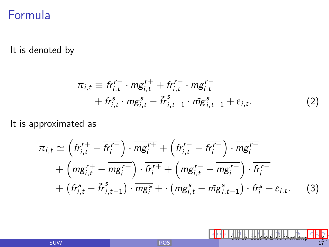### Formula

#### It is denoted by

$$
\pi_{i,t} \equiv f r_{i,t}^{r+} \cdot mg_{i,t}^{r+} + f r_{i,t}^{r-} \cdot mg_{i,t}^{r-} + f r_{i,t}^{s} \cdot mg_{i,t}^{s} - \tilde{r}^{s}_{i,t-1} \cdot \tilde{mg}_{i,t-1}^{s} + \varepsilon_{i,t}.
$$
\n(2)

<span id="page-7-0"></span>[O](#page-6-0)[ct 1](#page-7-0)[6,](#page-8-0) [201](#page-0-0)[3 @](#page-16-0) [EM](#page-0-0)[G W](#page-16-0)[ork](#page-0-0)[shop](#page-16-0) 8 / 8

#### It is approximated as

$$
\pi_{i,t} \simeq \left( fr_{i,t}^{r+} - \overline{fr_j^{r+}} \right) \cdot \overline{mg_i^{r+}} + \left( fr_{i,t}^{r-} - \overline{fr_j^{r-}} \right) \cdot \overline{mg_i^{r-}} \n+ \left( mg_{i,t}^{r+} - \overline{mg_i^{r+}} \right) \cdot \overline{fr_j^{r+}} + \left( mg_{i,t}^{r-} - \overline{mg_i^{r-}} \right) \cdot \overline{fr_j^{r-}} \n+ \left( fr_{i,t}^s - \tilde{fr}_{i,t-1}^s \right) \cdot \overline{mg_i^s} + \cdot \left( mg_{i,t}^s - \tilde{mg}_{i,t-1}^s \right) \cdot \overline{fr_j^s} + \varepsilon_{i,t}. \tag{3}
$$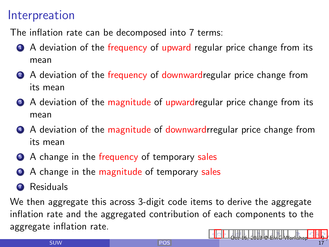### Interpreation

The inflation rate can be decomposed into 7 terms:

- **4** A deviation of the frequency of upward regular price change from its mean
- 2 A deviation of the frequency of downwardregular price change from its mean
- A deviation of the magnitude of upwardregular price change from its mean
- **4** A deviation of the magnitude of downwardrregular price change from its mean
- **6** A change in the frequency of temporary sales
- <sup>6</sup> A change in the magnitude of temporary sales
- **2** Residuals

We then aggregate this across 3-digit code items to derive the aggregate inflation rate and the aggregated contribution of each components to the aggregate inflation rate.

<span id="page-8-0"></span>[O](#page-7-0)[ct 1](#page-8-0)[6,](#page-9-0) [201](#page-0-0)[3 @](#page-16-0) [EM](#page-0-0)[G W](#page-16-0)[ork](#page-0-0)[shop](#page-16-0) 9 / 9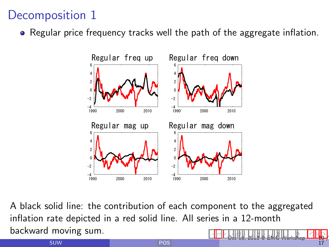## Decomposition 1

• Regular price frequency tracks well the path of the aggregate inflation.



A black solid line: the contribution of each component to the aggregated inflation rate depicted in a red solid line. All series in a 12-month backward moving sum.  $\leftarrow$   $\Box$ [Oc](#page-8-0)[t 16](#page-9-0)[,](#page-10-0) [2013](#page-0-0) [@](#page-16-0) [EMG](#page-0-0) [Wo](#page-16-0)[rks](#page-0-0)[hop](#page-16-0)

<span id="page-9-0"></span>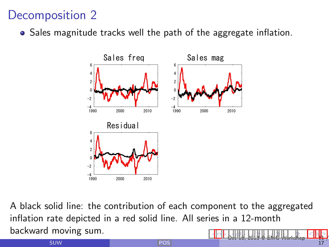### Decomposition 2

• Sales magnitude tracks well the path of the aggregate inflation.



A black solid line: the contribution of each component to the aggregated inflation rate depicted in a red solid line. All series in a 12-month backward moving sum.  $\leftarrow$   $\Box$ [Oc](#page-9-0)[t 16](#page-10-0)[,](#page-11-0) [2013](#page-0-0) [@](#page-16-0) [EMG](#page-0-0) [Wo](#page-16-0)[rks](#page-0-0)[hop](#page-16-0)

<span id="page-10-0"></span>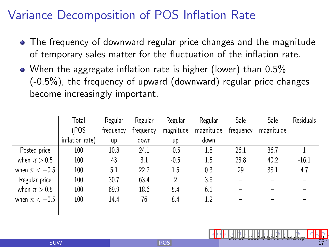## Variance Decomposition of POS Inflation Rate

- The frequency of downward regular price changes and the magnitude of temporary sales matter for the fluctuation of the inflation rate.
- When the aggregate inflation rate is higher (lower) than 0.5% (-0.5%), the frequency of upward (downward) regular price changes become increasingly important.

|                   | Total           | Regular   | Regular   | Regular   | Regular    | Sale      | Sale       | <b>Residuals</b> |
|-------------------|-----------------|-----------|-----------|-----------|------------|-----------|------------|------------------|
|                   | (POS            | frequency | frequency | magnitude | magnituide | frequency | magnituide |                  |
|                   | inflation rate) | up        | down      | up        | down       |           |            |                  |
| Posted price      | 100             | 10.8      | 24.1      | $-0.5$    | 1.8        | 26.1      | 36.7       |                  |
| when $\pi > 0.5$  | 100             | 43        | 3.1       | $-0.5$    | 1.5        | 28.8      | 40.2       | $-16.1$          |
| when $\pi < -0.5$ | 100             | 5.1       | 22.2      | 1.5       | 0.3        | 29        | 38.1       | 4.7              |
| Regular price     | 100             | 30.7      | 63.4      | 2         | 3.8        | -         |            |                  |
| when $\pi > 0.5$  | 100             | 69.9      | 18.6      | 5.4       | 6.1        |           |            |                  |
| when $\pi < -0.5$ | 100             | 14.4      | 76        | 8.4       | 1.2        |           |            |                  |
|                   |                 |           |           |           |            |           |            |                  |

<span id="page-11-0"></span>[Oc](#page-10-0)[t 16](#page-11-0)[,](#page-12-0) [2013](#page-0-0) [@](#page-16-0) [EMG](#page-0-0) [Wo](#page-16-0)[rks](#page-0-0)[hop](#page-16-0) 12 / 17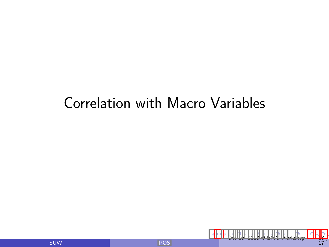# Correlation with Macro Variables

<span id="page-12-0"></span>[Oc](#page-11-0)[t 16](#page-12-0)[,](#page-13-0) [2013](#page-0-0) [@](#page-16-0) [EMG](#page-0-0) [Wo](#page-16-0)[rks](#page-0-0)[hop](#page-16-0) 13 / 17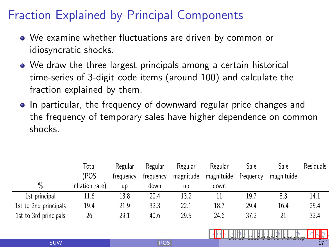## Fraction Explained by Principal Components

- We examine whether fluctuations are driven by common or idiosyncratic shocks.
- We draw the three largest principals among a certain historical time-series of 3-digit code items (around 100) and calculate the fraction explained by them.
- In particular, the frequency of downward regular price changes and the frequency of temporary sales have higher dependence on common shocks.

|                       | Total           | Regular   | Regular   | Regular   | Regular    | Sale      | Sale       | Residuals |
|-----------------------|-----------------|-----------|-----------|-----------|------------|-----------|------------|-----------|
|                       | (POS            | frequency | frequency | magnitude | magnituide | frequency | magnituide |           |
| $\frac{0}{0}$         | inflation rate) | up        | down      | up        | down       |           |            |           |
| 1st principal         | 11.6            | 13.8      | 20.4      | 13.2      |            | 19.7      | 8.3        | 14.1      |
| 1st to 2nd principals | 19.4            | 21.9      | 32.3      | 22.1      | 18.7       | 29.4      | 16.4       | 25.4      |
| 1st to 3rd principals | 26              | 29.1      | 40.6      | 29.5      | 24.6       | 37.2      |            | 32.4      |

<span id="page-13-0"></span>[Oc](#page-12-0)[t 16](#page-13-0)[,](#page-14-0) [2013](#page-0-0) [@](#page-16-0) [EMG](#page-0-0) [Wo](#page-16-0)[rks](#page-0-0)[hop](#page-16-0)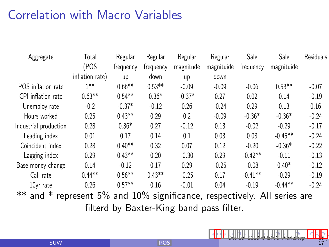## Correlation with Macro Variables

| Aggregate                                                                       | Total           | Regular   | Regular   | Regular   | Regular    | Sale      | Sale       | <b>Residuals</b> |
|---------------------------------------------------------------------------------|-----------------|-----------|-----------|-----------|------------|-----------|------------|------------------|
|                                                                                 | (POS            | frequency | frequency | magnitude | magnituide | frequency | magnituide |                  |
|                                                                                 | inflation rate) | up        | down      | up        | down       |           |            |                  |
| POS inflation rate                                                              | $1**$           | $0.66**$  | $0.53**$  | $-0.09$   | $-0.09$    | $-0.06$   | $0.53**$   | $-0.07$          |
| CPI inflation rate                                                              | $0.63**$        | $0.54**$  | $0.36*$   | $-0.37*$  | 0.27       | 0.02      | 0.14       | $-0.19$          |
| Unemploy rate                                                                   | $-0.2$          | $-0.37*$  | $-0.12$   | 0.26      | $-0.24$    | 0.29      | 0.13       | 0.16             |
| Hours worked                                                                    | 0.25            | $0.43**$  | 0.29      | 0.2       | $-0.09$    | $-0.36*$  | $-0.36*$   | $-0.24$          |
| Industrial production                                                           | 0.28            | $0.36*$   | 0.27      | $-0.12$   | 0.13       | $-0.02$   | $-0.29$    | $-0.17$          |
| Leading index                                                                   | 0.01            | 0.17      | 0.14      | 0.1       | 0.03       | 0.08      | $-0.45**$  | $-0.24$          |
| Coincident index                                                                | 0.28            | $0.40**$  | 0.32      | 0.07      | 0.12       | $-0.20$   | $-0.36*$   | $-0.22$          |
| Lagging index                                                                   | 0.29            | $0.43**$  | 0.20      | $-0.30$   | 0.29       | $-0.42**$ | $-0.11$    | $-0.13$          |
| Base money change                                                               | 0.14            | $-0.12$   | 0.17      | 0.29      | $-0.25$    | $-0.08$   | $0.40*$    | $-0.12$          |
| Call rate                                                                       | $0.44**$        | $0.56**$  | $0.43**$  | $-0.25$   | 0.17       | $-0.41**$ | $-0.29$    | $-0.19$          |
| 10yr rate                                                                       | 0.26            | $0.57**$  | 0.16      | $-0.01$   | 0.04       | $-0.19$   | $-0.44**$  | $-0.24$          |
| $**$ and $*$<br>represent 5% and 10% significance, respectively. All series are |                 |           |           |           |            |           |            |                  |
| filterd by Rayter King band pace filter                                         |                 |           |           |           |            |           |            |                  |

<span id="page-14-0"></span>[Oc](#page-13-0)[t 16](#page-14-0)[,](#page-15-0) [2013](#page-0-0) [@](#page-16-0) [EMG](#page-0-0) [Wo](#page-16-0)[rks](#page-0-0)[hop](#page-16-0) 15 / 17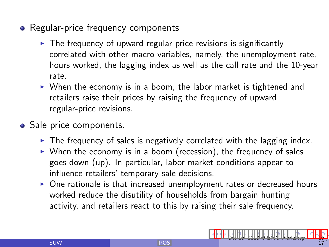- Regular-price frequency components
	- $\triangleright$  The frequency of upward regular-price revisions is significantly correlated with other macro variables, namely, the unemployment rate, hours worked, the lagging index as well as the call rate and the 10-year rate.
	- $\triangleright$  When the economy is in a boom, the labor market is tightened and retailers raise their prices by raising the frequency of upward regular-price revisions.
- Sale price components.
	- $\triangleright$  The frequency of sales is negatively correlated with the lagging index.
	- $\triangleright$  When the economy is in a boom (recession), the frequency of sales goes down (up). In particular, labor market conditions appear to influence retailers' temporary sale decisions.
	- $\triangleright$  One rationale is that increased unemployment rates or decreased hours worked reduce the disutility of households from bargain hunting activity, and retailers react to this by raising their sale frequency.

<span id="page-15-0"></span>[Oc](#page-14-0)[t 16](#page-15-0)[,](#page-16-0) [2013](#page-0-0) [@](#page-16-0) [EMG](#page-0-0) [Wo](#page-16-0)[rks](#page-0-0)[hop](#page-16-0) 16 / 17